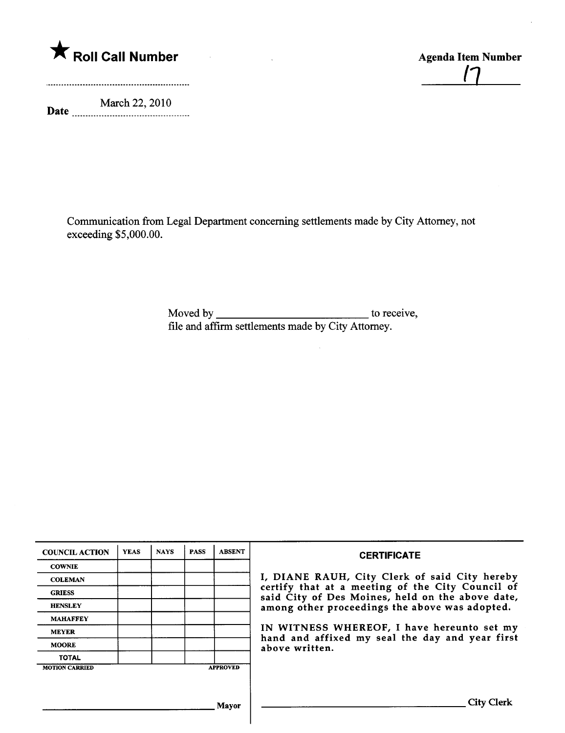

Date March 22, 2010 <u>[']</u>

Communication from Legal Department concerning settlements made by City Attorney, not exceeding \$5,000.00.

> Moved by to receive, file and affrm settlements made by City Attorney.

| <b>COUNCIL ACTION</b> | <b>YEAS</b> | <b>NAYS</b> | <b>PASS</b> | <b>ABSENT</b>   | <b>CERTIFICATE</b>                                                                                                                                                                                                                                                                                                         |
|-----------------------|-------------|-------------|-------------|-----------------|----------------------------------------------------------------------------------------------------------------------------------------------------------------------------------------------------------------------------------------------------------------------------------------------------------------------------|
| <b>COWNIE</b>         |             |             |             |                 | I, DIANE RAUH, City Clerk of said City hereby<br>certify that at a meeting of the City Council of<br>said City of Des Moines, held on the above date,<br>among other proceedings the above was adopted.<br>IN WITNESS WHEREOF, I have hereunto set my<br>hand and affixed my seal the day and year first<br>above written. |
| <b>COLEMAN</b>        |             |             |             |                 |                                                                                                                                                                                                                                                                                                                            |
| <b>GRIESS</b>         |             |             |             |                 |                                                                                                                                                                                                                                                                                                                            |
| <b>HENSLEY</b>        |             |             |             |                 |                                                                                                                                                                                                                                                                                                                            |
| <b>MAHAFFEY</b>       |             |             |             |                 |                                                                                                                                                                                                                                                                                                                            |
| <b>MEYER</b>          |             |             |             |                 |                                                                                                                                                                                                                                                                                                                            |
| <b>MOORE</b>          |             |             |             |                 |                                                                                                                                                                                                                                                                                                                            |
| <b>TOTAL</b>          |             |             |             |                 |                                                                                                                                                                                                                                                                                                                            |
| <b>MOTION CARRIED</b> |             |             |             | <b>APPROVED</b> |                                                                                                                                                                                                                                                                                                                            |
|                       |             |             |             |                 |                                                                                                                                                                                                                                                                                                                            |
|                       |             |             |             |                 |                                                                                                                                                                                                                                                                                                                            |
| Mavor                 |             |             |             |                 | City Clerk                                                                                                                                                                                                                                                                                                                 |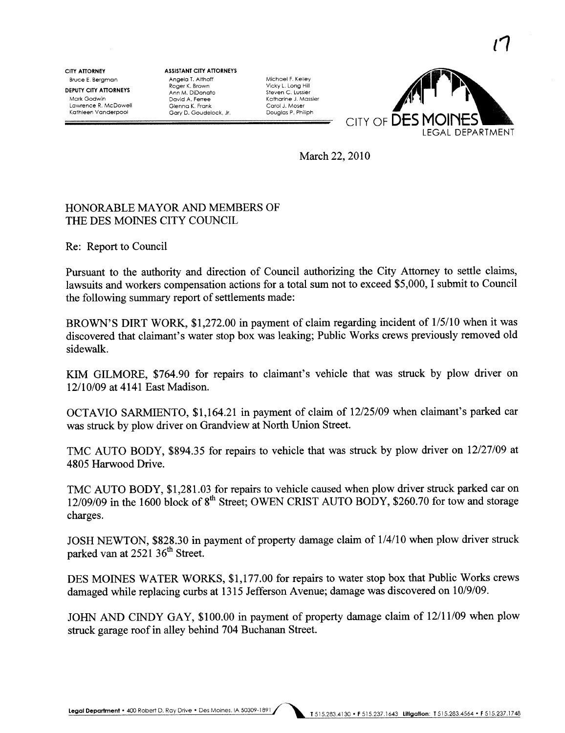Bruce E. Bergman CITY ATTORNEY

DEPUTY CITY ATTORNEYS Mark Godwin Lawrence R. McDoweli Kathleen Vanderpool

ASSISTANT CITY ATTORNEYS Angela T. Althoff Roger K. Brown Ann M. DiDonato David A. Ferree Glenna K. Frank Gary D. Goudelock, Jr.

Michael F. Keliey Vicky L. Long Hili Steven C, Lussier Katharine J. Massier Corol J. Moser Douglas P. Philiph



 $\mathcal{C}$ 

March 22, 2010

## HONORABLE MA YOR AND MEMBERS OF THE DES MOINES CITY COUNCIL

Re: Report to Council

Pursuant to the authority and direction of Council authorizing the City Attorney to settle claims, lawsuits and workers compensation actions for a total sum not to exceed \$5,000, I submit to Council the following summary report of settlements made:

BROWN'S DIRT WORK, \$1,272.00 in payment of claim regarding incident of 1/5/10 when it was discovered that claimant's water stop box was leaking; Public Works crews previously removed old sidewalk.

KIM GILMORE, \$764.90 for repairs to claimant's vehicle that was struck by plow driver on 12/10/09 at 4141 East Madison.

OCTA VIO SARMIENTO, \$1,164.21 in payment of claim of 12/25/09 when claimant's parked car was struck by plow driver on Grandview at North Union Street.

TMC AUTO BODY, \$894.35 for repairs to vehicle that was struck by plow driver on 12/27/09 at 4805 Harwood Drive.

TMC AUTO BODY, \$1,281.03 for repairs to vehicle caused when plow driver struck parked car on 12/09/09 in the 1600 block of 8<sup>th</sup> Street; OWEN CRIST AUTO BODY, \$260.70 for tow and storage charges.

JOSH NEWTON, \$828.30 in payment of property damage claim of  $1/4/10$  when plow driver struck parked van at 2521 36<sup>th</sup> Street.

DES MOINES WATER WORKS, \$1,177.00 for repairs to water stop box that Public Works crews damaged while replacing curbs at 1315 Jefferson Avenue; damage was discovered on 10/9/09.

JOHN AND CINDY GAY, \$100.00 in payment of property damage claim of 12/11/09 when plow struck garage roof in alley behind 704 Buchanan Street.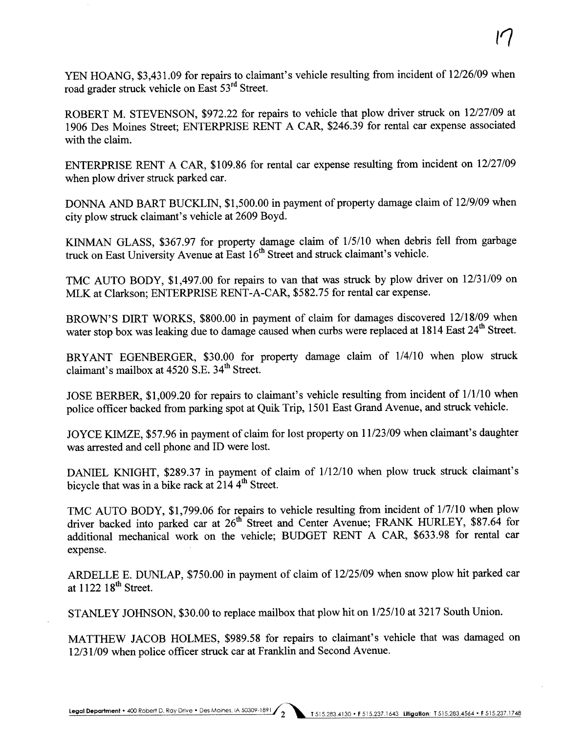YEN HOANG, \$3,431.09 for repairs to claimant's vehicle resulting from incident of 12/26/09 when road grader struck vehicle on East 53rd Street.

ROBERT M. STEVENSON, \$972.22 for repairs to vehicle that plow driver struck on 12/27/09 at 1906 Des Moines Street; ENTERPRISE RENT A CAR, \$246.39 for rental car expense associated with the claim.

ENTERPRISE RENT A CAR, \$109.86 for rental car expense resulting from incident on 12/27/09 when plow driver struck parked car.

DONNA AND BART BUCKLIN, \$1,500.00 in payment of property damage claim of 12/9/09 when city plow struck claimant's vehicle at 2609 Boyd.

KINMAN GLASS, \$367.97 for property damage claim of 1/5/10 when debris fell from garbage truck on East University Avenue at East 16<sup>th</sup> Street and struck claimant's vehicle.

TMC AUTO BODY, \$1,497.00 for repairs to van that was struck by plow driver on 12/31/09 on MLK at Clarkson; ENTERPRISE RENT-A-CAR, \$582.75 for rental car expense.

BROWN'S DIRT WORKS, \$800.00 in payment of claim for damages discovered 12/18/09 when water stop box was leaking due to damage caused when curbs were replaced at 1814 East 24<sup>th</sup> Street.

BRYANT EGENBERGER, \$30.00 for property damage claim of 1/4/10 when plow struck claimant's mailbox at 4520 S.E. 34<sup>th</sup> Street.

JOSE BERBER, \$1,009.20 for repairs to claimant's vehicle resulting from incident of 1/1/10 when police officer backed from parking spot at Quik Trip, 1501 East Grand Avenue, and struck vehicle.

JOYCE KIMZE, \$57.96 in payment of claim for lost property on 11/23/09 when claimant's daughter was arested and cell phone and ID were lost.

DANIEL KNIGHT, \$289.37 in payment of claim of 1/12/10 when plow truck struck claimant's bicycle that was in a bike rack at  $2144^{\text{th}}$  Street.

TMC AUTO BODY, \$1,799.06 for repairs to vehicle resulting from incident of 1/7/10 when plow driver backed into parked car at 26<sup>th</sup> Street and Center Avenue; FRANK HURLEY, \$87.64 for additional mechanical work on the vehicle; BUDGET RENT A CAR, \$633.98 for rental car expense.

ARDELLE E. DUNLAP, \$750.00 in payment of claim of 12/25/09 when snow plow hit parked car at  $1122$   $18<sup>th</sup>$  Street.

STANLEY JOHNSON, \$30.00 to replace mailbox that plow hit on 1/25/10 at 3217 South Union.

MATTHEW JACOB HOLMES, \$989.58 for repairs to claimant's vehicle that was damaged on 12/31/09 when police officer struck car at Franklin and Second Avenue.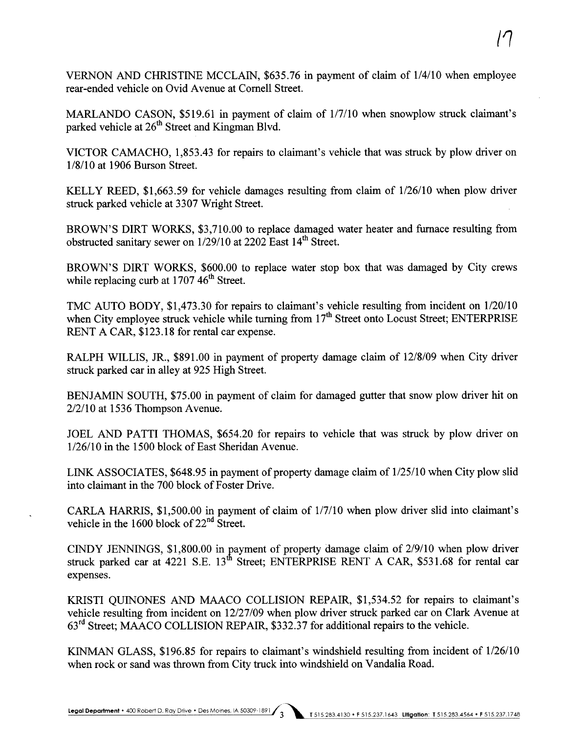VERNON AND CHRISTINE MCCLAIN, \$635.76 in payment of claim of 1/4/10 when employee rear-ended vehicle on Ovid A venue at Cornell Street.

MARLANDO CASON, \$519.61 in payment of claim of 1/7/10 when snowplow struck claimant's parked vehicle at 26<sup>th</sup> Street and Kingman Blvd.

VICTOR CAMACHO, 1,853.43 for repairs to claimant's vehicle that was struck by plow driver on 1/8/10 at 1906 Burson Street.

KELLY REED, \$1,663.59 for vehicle damages resulting from claim of 1/26/10 when plow drver struck parked vehicle at 3307 Wright Street.

BROWN'S DIRT WORKS, \$3,710.00 to replace damaged water heater and furnace resulting from obstructed sanitary sewer on  $1/29/10$  at 2202 East  $14<sup>th</sup>$  Street.

BROWN'S DIRT WORKS, \$600.00 to replace water stop box that was damaged by City crews while replacing curb at  $1707.46<sup>th</sup>$  Street.

TMC AUTO BODY, \$1,473.30 for repairs to claimant's vehicle resulting from incident on 1/20/10 when City employee struck vehicle while turning from  $17<sup>th</sup>$  Street onto Locust Street; ENTERPRISE RENT A CAR, \$123.18 for rental car expense.

RALPH WILLIS, JR., \$891.00 in payment of property damage claim of 12/8/09 when City driver struck parked car in alley at 925 High Street.

BENJAMIN SOUTH, \$75.00 in payment of claim for damaged gutter that snow plow driver hit on 2/2/10 at 1536 Thompson Avenue.

JOEL AND PATTI THOMAS, \$654.20 for repairs to vehicle that was struck by plow driver on 1/26/10 in the 1500 block of East Sheridan Avenue.

LINK ASSOCIATES, \$648.95 in payment of property damage claim of  $1/25/10$  when City plow slid into claimant in the 700 block of Foster Drive.

CARLA HARRS, \$1,500.00 in payment of claim of 1/7110 when plow driver slid into claimant's vehicle in the 1600 block of 22<sup>nd</sup> Street.

CINDY JENNINGS, \$1,800.00 in payment of property damage claim of 2/9/10 when plow driver struck parked car at  $4221$  S.E.  $13<sup>th</sup>$  Street; ENTERPRISE RENT A CAR, \$531.68 for rental car expenses.

KRSTI QUINONES AND MAACO COLLISION REPAIR, \$1,534.52 for repairs to claimant's vehicle resulting from incident on 12/27/09 when plow driver struck parked car on Clark Avenue at 63rd Street; MAACO COLLISION REPAIR, \$332.37 for additional repairs to the vehicle.

KINMAN GLASS, \$196.85 for repairs to claimant's windshield resulting from incident of 1/26110 when rock or sand was thrown from City truck into windshield on Vandalia Road.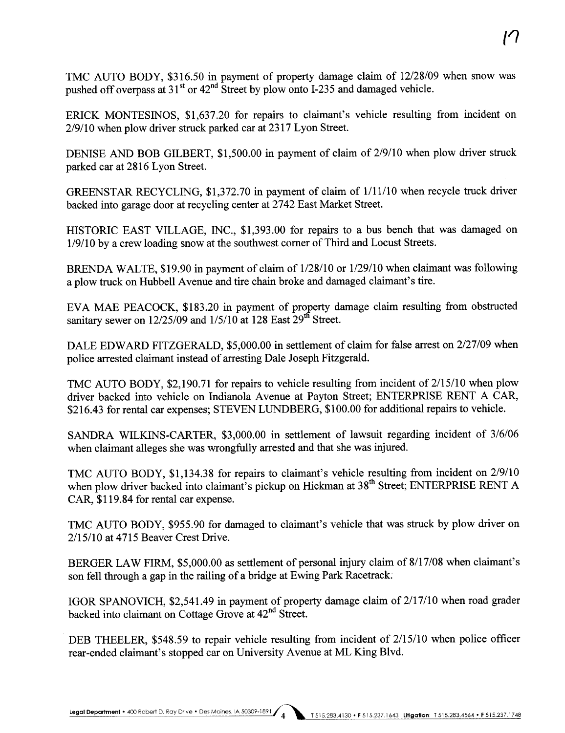TMC AUTO BODY, \$316.50 in payment of property damage claim of 12/28/09 when snow was pushed off overpass at  $31<sup>st</sup>$  or  $42<sup>nd</sup>$  Street by plow onto I-235 and damaged vehicle.

ERICK MONTESINOS, \$1,637.20 for repairs to claimant's vehicle resulting from incident on 2/9/10 when plow driver struck parked car at 2317 Lyon Street.

DENISE AND BOB GILBERT, \$1,500.00 in payment of claim of 2/9/10 when plow driver struck parked car at 2816 Lyon Street.

GREENSTAR RECYCLING, \$1,372.70 in payment of claim of  $1/11/10$  when recycle truck driver backed into garage door at recycling center at 2742 East Market Street.

HISTORIC EAST VILLAGE, INC., \$1,393.00 for repairs to a bus bench that was damaged on 1/9/10 by a crew loading snow at the southwest corner of Third and Locust Streets.

BRENDA WALTE, \$19.90 in payment of claim of 1/28110 or 1/29/10 when claimant was following a plow truck on Hubbell Avenue and tire chain broke and damaged claimant's tire.

EVA MAE PEACOCK, \$183.20 in payment of property damage claim resulting from obstructed sanitary sewer on  $12/25/09$  and  $1/5/10$  at 128 East 29<sup>th</sup> Street.

DALE EDWARD FITZGERALD, \$5,000.00 in settlement of claim for false arest on 2/27/09 when police arested claimant instead of aresting Dale Joseph Fitzgerald.

TMC AUTO BODY,  $$2,190.71$  for repairs to vehicle resulting from incident of  $2/15/10$  when plow driver backed into vehicle on Indianola Avenue at Payton Street; ENTERPRISE RENT A CAR, \$216.43 for rental car expenses; STEVEN LUNDBERG, \$100.00 for additional repairs to vehicle.

SANDRA WILKINS-CARTER, \$3,000.00 in settlement of lawsuit regarding incident of 3/6/06 when claimant alleges she was wrongfully arested and that she was injured.

TMC AUTO BODY, \$1,134.38 for repairs to claimant's vehicle resulting from incident on 2/9/10 when plow driver backed into claimant's pickup on Hickman at 38<sup>th</sup> Street; ENTERPRISE RENT A CAR, \$119.84 for rental car expense.

TMC AUTO BODY, \$955.90 for damaged to claimant's vehicle that was struck by plow driver on 2/15/10 at 4715 Beaver Crest Drive.

BERGER LAW FIRM, \$5,000.00 as settlement of personal injury claim of 8/17/08 when claimant's son fell through a gap in the railing of a bridge at Ewing Park Racetrack.

IGOR SPANOVICH, \$2,541.49 in payment of property damage claim of  $2/17/10$  when road grader backed into claimant on Cottage Grove at 42<sup>nd</sup> Street.

DEB THEELER, \$548.59 to repair vehicle resulting from incident of 2/15/10 when police officer rear-ended claimant's stopped car on University Avenue at ML King Blvd.